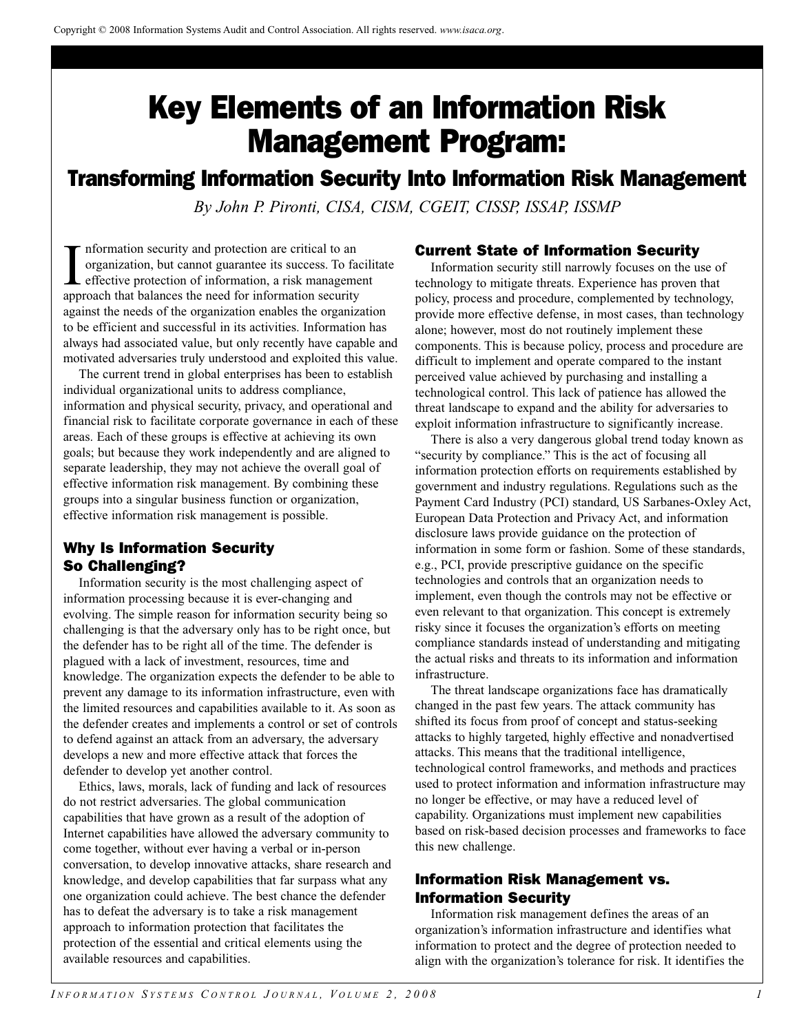# Key Elements of an Information Risk Management Program:

## Transforming Information Security Into Information Risk Management

*By John P. Pironti, CISA, CISM, CGEIT, CISSP, ISSAP, ISSMP*

Information security and protection are critical to an organization, but cannot guarantee its success. To fa effective protection of information, a risk manageme approach that balances the need for information security nformation security and protection are critical to an organization, but cannot guarantee its success. To facilitate effective protection of information, a risk management against the needs of the organization enables the organization to be efficient and successful in its activities. Information has always had associated value, but only recently have capable and motivated adversaries truly understood and exploited this value.

The current trend in global enterprises has been to establish individual organizational units to address compliance, information and physical security, privacy, and operational and financial risk to facilitate corporate governance in each of these areas. Each of these groups is effective at achieving its own goals; but because they work independently and are aligned to separate leadership, they may not achieve the overall goal of effective information risk management. By combining these groups into a singular business function or organization, effective information risk management is possible.

## Why Is Information Security So Challenging?

Information security is the most challenging aspect of information processing because it is ever-changing and evolving. The simple reason for information security being so challenging is that the adversary only has to be right once, but the defender has to be right all of the time. The defender is plagued with a lack of investment, resources, time and knowledge. The organization expects the defender to be able to prevent any damage to its information infrastructure, even with the limited resources and capabilities available to it. As soon as the defender creates and implements a control or set of controls to defend against an attack from an adversary, the adversary develops a new and more effective attack that forces the defender to develop yet another control.

Ethics, laws, morals, lack of funding and lack of resources do not restrict adversaries. The global communication capabilities that have grown as a result of the adoption of Internet capabilities have allowed the adversary community to come together, without ever having a verbal or in-person conversation, to develop innovative attacks, share research and knowledge, and develop capabilities that far surpass what any one organization could achieve. The best chance the defender has to defeat the adversary is to take a risk management approach to information protection that facilitates the protection of the essential and critical elements using the available resources and capabilities.

## Current State of Information Security

Information security still narrowly focuses on the use of technology to mitigate threats. Experience has proven that policy, process and procedure, complemented by technology, provide more effective defense, in most cases, than technology alone; however, most do not routinely implement these components. This is because policy, process and procedure are difficult to implement and operate compared to the instant perceived value achieved by purchasing and installing a technological control. This lack of patience has allowed the threat landscape to expand and the ability for adversaries to exploit information infrastructure to significantly increase.

There is also a very dangerous global trend today known as "security by compliance." This is the act of focusing all information protection efforts on requirements established by government and industry regulations. Regulations such as the Payment Card Industry (PCI) standard, US Sarbanes-Oxley Act, European Data Protection and Privacy Act, and information disclosure laws provide guidance on the protection of information in some form or fashion. Some of these standards, e.g., PCI, provide prescriptive guidance on the specific technologies and controls that an organization needs to implement, even though the controls may not be effective or even relevant to that organization. This concept is extremely risky since it focuses the organization's efforts on meeting compliance standards instead of understanding and mitigating the actual risks and threats to its information and information infrastructure.

The threat landscape organizations face has dramatically changed in the past few years. The attack community has shifted its focus from proof of concept and status-seeking attacks to highly targeted, highly effective and nonadvertised attacks. This means that the traditional intelligence, technological control frameworks, and methods and practices used to protect information and information infrastructure may no longer be effective, or may have a reduced level of capability. Organizations must implement new capabilities based on risk-based decision processes and frameworks to face this new challenge.

## Information Risk Management vs. Information Security

Information risk management defines the areas of an organization's information infrastructure and identifies what information to protect and the degree of protection needed to align with the organization's tolerance for risk. It identifies the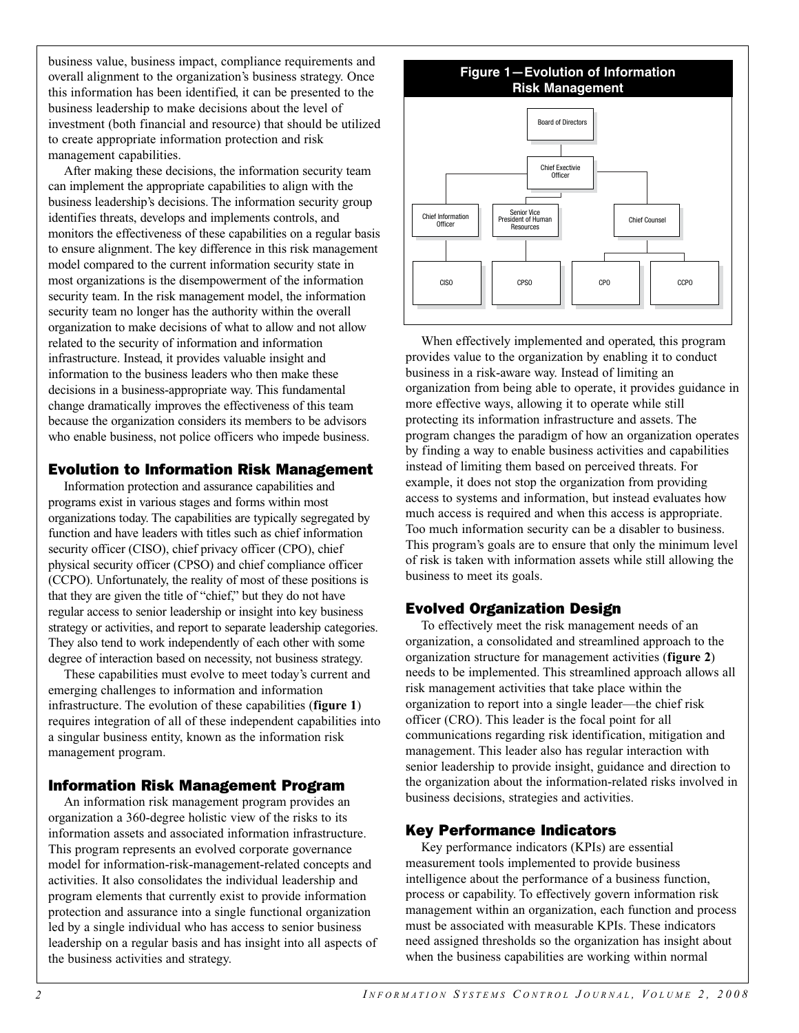business value, business impact, compliance requirements and overall alignment to the organization's business strategy. Once this information has been identified, it can be presented to the business leadership to make decisions about the level of investment (both financial and resource) that should be utilized to create appropriate information protection and risk management capabilities.

After making these decisions, the information security team can implement the appropriate capabilities to align with the business leadership's decisions. The information security group identifies threats, develops and implements controls, and monitors the effectiveness of these capabilities on a regular basis to ensure alignment. The key difference in this risk management model compared to the current information security state in most organizations is the disempowerment of the information security team. In the risk management model, the information security team no longer has the authority within the overall organization to make decisions of what to allow and not allow related to the security of information and information infrastructure. Instead, it provides valuable insight and information to the business leaders who then make these decisions in a business-appropriate way. This fundamental change dramatically improves the effectiveness of this team because the organization considers its members to be advisors who enable business, not police officers who impede business.

## Evolution to Information Risk Management

Information protection and assurance capabilities and programs exist in various stages and forms within most organizations today. The capabilities are typically segregated by function and have leaders with titles such as chief information security officer (CISO), chief privacy officer (CPO), chief physical security officer (CPSO) and chief compliance officer (CCPO). Unfortunately, the reality of most of these positions is that they are given the title of "chief," but they do not have regular access to senior leadership or insight into key business strategy or activities, and report to separate leadership categories. They also tend to work independently of each other with some degree of interaction based on necessity, not business strategy.

These capabilities must evolve to meet today's current and emerging challenges to information and information infrastructure. The evolution of these capabilities (**figure 1**) requires integration of all of these independent capabilities into a singular business entity, known as the information risk management program.

## Information Risk Management Program

An information risk management program provides an organization a 360-degree holistic view of the risks to its information assets and associated information infrastructure. This program represents an evolved corporate governance model for information-risk-management-related concepts and activities. It also consolidates the individual leadership and program elements that currently exist to provide information protection and assurance into a single functional organization led by a single individual who has access to senior business leadership on a regular basis and has insight into all aspects of the business activities and strategy.



When effectively implemented and operated, this program provides value to the organization by enabling it to conduct business in a risk-aware way. Instead of limiting an organization from being able to operate, it provides guidance in more effective ways, allowing it to operate while still protecting its information infrastructure and assets. The program changes the paradigm of how an organization operates by finding a way to enable business activities and capabilities instead of limiting them based on perceived threats. For example, it does not stop the organization from providing access to systems and information, but instead evaluates how much access is required and when this access is appropriate. Too much information security can be a disabler to business. This program's goals are to ensure that only the minimum level of risk is taken with information assets while still allowing the business to meet its goals.

## Evolved Organization Design

To effectively meet the risk management needs of an organization, a consolidated and streamlined approach to the organization structure for management activities (**figure 2**) needs to be implemented. This streamlined approach allows all risk management activities that take place within the organization to report into a single leader—the chief risk officer (CRO). This leader is the focal point for all communications regarding risk identification, mitigation and management. This leader also has regular interaction with senior leadership to provide insight, guidance and direction to the organization about the information-related risks involved in business decisions, strategies and activities.

## Key Performance Indicators

Key performance indicators (KPIs) are essential measurement tools implemented to provide business intelligence about the performance of a business function, process or capability. To effectively govern information risk management within an organization, each function and process must be associated with measurable KPIs. These indicators need assigned thresholds so the organization has insight about when the business capabilities are working within normal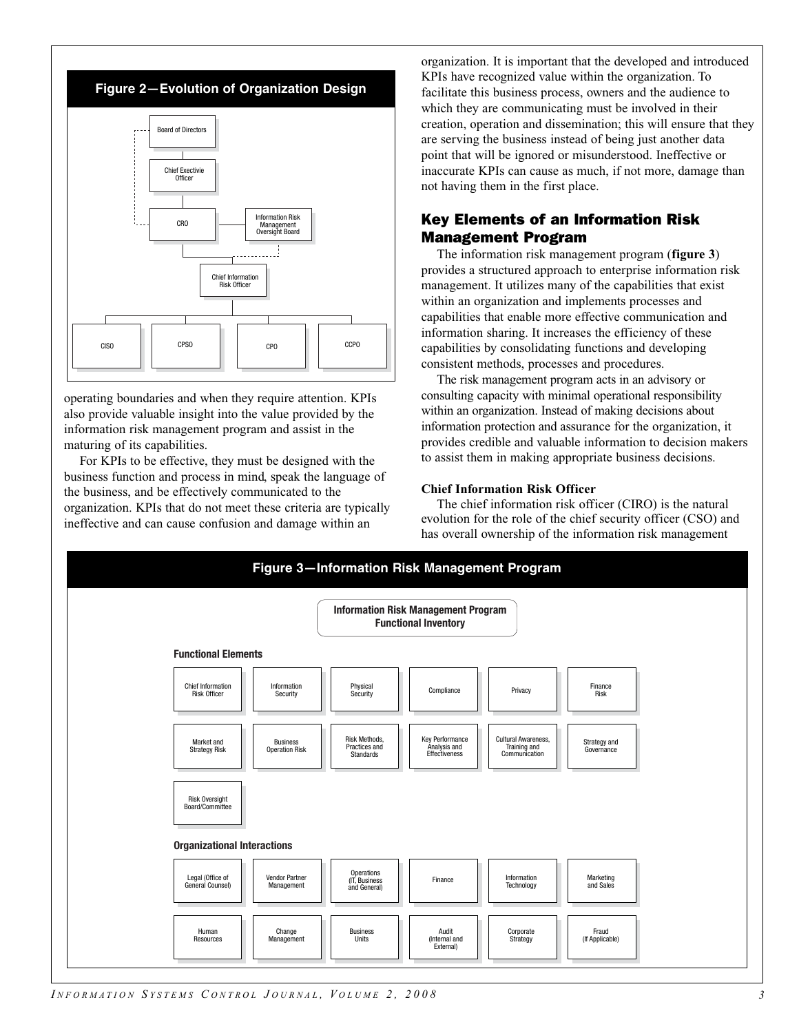

operating boundaries and when they require attention. KPIs also provide valuable insight into the value provided by the information risk management program and assist in the maturing of its capabilities.

For KPIs to be effective, they must be designed with the business function and process in mind, speak the language of the business, and be effectively communicated to the organization. KPIs that do not meet these criteria are typically ineffective and can cause confusion and damage within an

organization. It is important that the developed and introduced KPIs have recognized value within the organization. To facilitate this business process, owners and the audience to which they are communicating must be involved in their creation, operation and dissemination; this will ensure that they are serving the business instead of being just another data point that will be ignored or misunderstood. Ineffective or inaccurate KPIs can cause as much, if not more, damage than not having them in the first place.

## Key Elements of an Information Risk Management Program

The information risk management program (**figure 3**) provides a structured approach to enterprise information risk management. It utilizes many of the capabilities that exist within an organization and implements processes and capabilities that enable more effective communication and information sharing. It increases the efficiency of these capabilities by consolidating functions and developing consistent methods, processes and procedures.

The risk management program acts in an advisory or consulting capacity with minimal operational responsibility within an organization. Instead of making decisions about information protection and assurance for the organization, it provides credible and valuable information to decision makers to assist them in making appropriate business decisions.

#### **Chief Information Risk Officer**

The chief information risk officer (CIRO) is the natural evolution for the role of the chief security officer (CSO) and has overall ownership of the information risk management



*I NFORMATION S YSTEMS C ONTROL J OURNAL , V OLUME 2, 2008*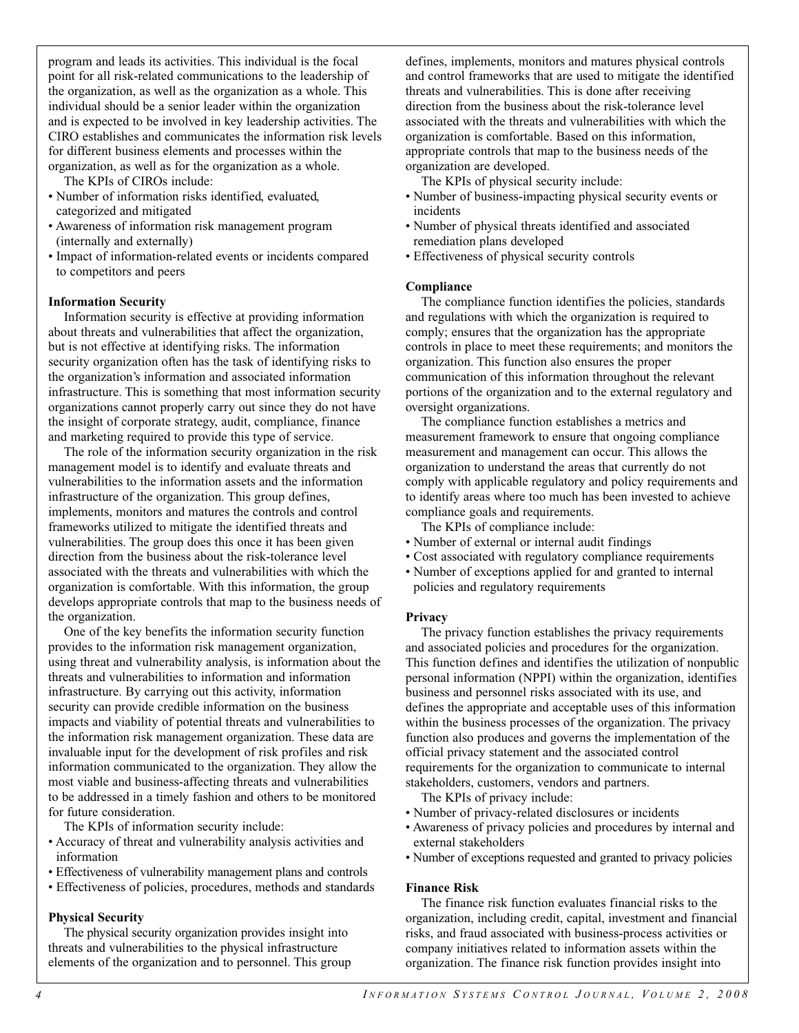program and leads its activities. This individual is the focal point for all risk-related communications to the leadership of the organization, as well as the organization as a whole. This individual should be a senior leader within the organization and is expected to be involved in key leadership activities. The CIRO establishes and communicates the information risk levels for different business elements and processes within the organization, as well as for the organization as a whole.

The KPIs of CIROs include:

- Number of information risks identified, evaluated, categorized and mitigated
- Awareness of information risk management program (internally and externally)
- Impact of information-related events or incidents compared to competitors and peers

#### **Information Security**

Information security is effective at providing information about threats and vulnerabilities that affect the organization, but is not effective at identifying risks. The information security organization often has the task of identifying risks to the organization's information and associated information infrastructure. This is something that most information security organizations cannot properly carry out since they do not have the insight of corporate strategy, audit, compliance, finance and marketing required to provide this type of service.

The role of the information security organization in the risk management model is to identify and evaluate threats and vulnerabilities to the information assets and the information infrastructure of the organization. This group defines, implements, monitors and matures the controls and control frameworks utilized to mitigate the identified threats and vulnerabilities. The group does this once it has been given direction from the business about the risk-tolerance level associated with the threats and vulnerabilities with which the organization is comfortable. With this information, the group develops appropriate controls that map to the business needs of the organization.

One of the key benefits the information security function provides to the information risk management organization, using threat and vulnerability analysis, is information about the threats and vulnerabilities to information and information infrastructure. By carrying out this activity, information security can provide credible information on the business impacts and viability of potential threats and vulnerabilities to the information risk management organization. These data are invaluable input for the development of risk profiles and risk information communicated to the organization. They allow the most viable and business-affecting threats and vulnerabilities to be addressed in a timely fashion and others to be monitored for future consideration.

The KPIs of information security include:

- Accuracy of threat and vulnerability analysis activities and information
- Effectiveness of vulnerability management plans and controls
- Effectiveness of policies, procedures, methods and standards

#### **Physical Security**

The physical security organization provides insight into threats and vulnerabilities to the physical infrastructure elements of the organization and to personnel. This group defines, implements, monitors and matures physical controls and control frameworks that are used to mitigate the identified threats and vulnerabilities. This is done after receiving direction from the business about the risk-tolerance level associated with the threats and vulnerabilities with which the organization is comfortable. Based on this information, appropriate controls that map to the business needs of the organization are developed.

The KPIs of physical security include:

- Number of business-impacting physical security events or incidents
- Number of physical threats identified and associated remediation plans developed
- Effectiveness of physical security controls

#### **Compliance**

The compliance function identifies the policies, standards and regulations with which the organization is required to comply; ensures that the organization has the appropriate controls in place to meet these requirements; and monitors the organization. This function also ensures the proper communication of this information throughout the relevant portions of the organization and to the external regulatory and oversight organizations.

The compliance function establishes a metrics and measurement framework to ensure that ongoing compliance measurement and management can occur. This allows the organization to understand the areas that currently do not comply with applicable regulatory and policy requirements and to identify areas where too much has been invested to achieve compliance goals and requirements.

The KPIs of compliance include:

- Number of external or internal audit findings
- Cost associated with regulatory compliance requirements
- Number of exceptions applied for and granted to internal policies and regulatory requirements

#### **Privacy**

The privacy function establishes the privacy requirements and associated policies and procedures for the organization. This function defines and identifies the utilization of nonpublic personal information (NPPI) within the organization, identifies business and personnel risks associated with its use, and defines the appropriate and acceptable uses of this information within the business processes of the organization. The privacy function also produces and governs the implementation of the official privacy statement and the associated control requirements for the organization to communicate to internal stakeholders, customers, vendors and partners.

The KPIs of privacy include:

- Number of privacy-related disclosures or incidents
- Awareness of privacy policies and procedures by internal and external stakeholders
- Number of exceptions requested and granted to privacy policies

#### **Finance Risk**

The finance risk function evaluates financial risks to the organization, including credit, capital, investment and financial risks, and fraud associated with business-process activities or company initiatives related to information assets within the organization. The finance risk function provides insight into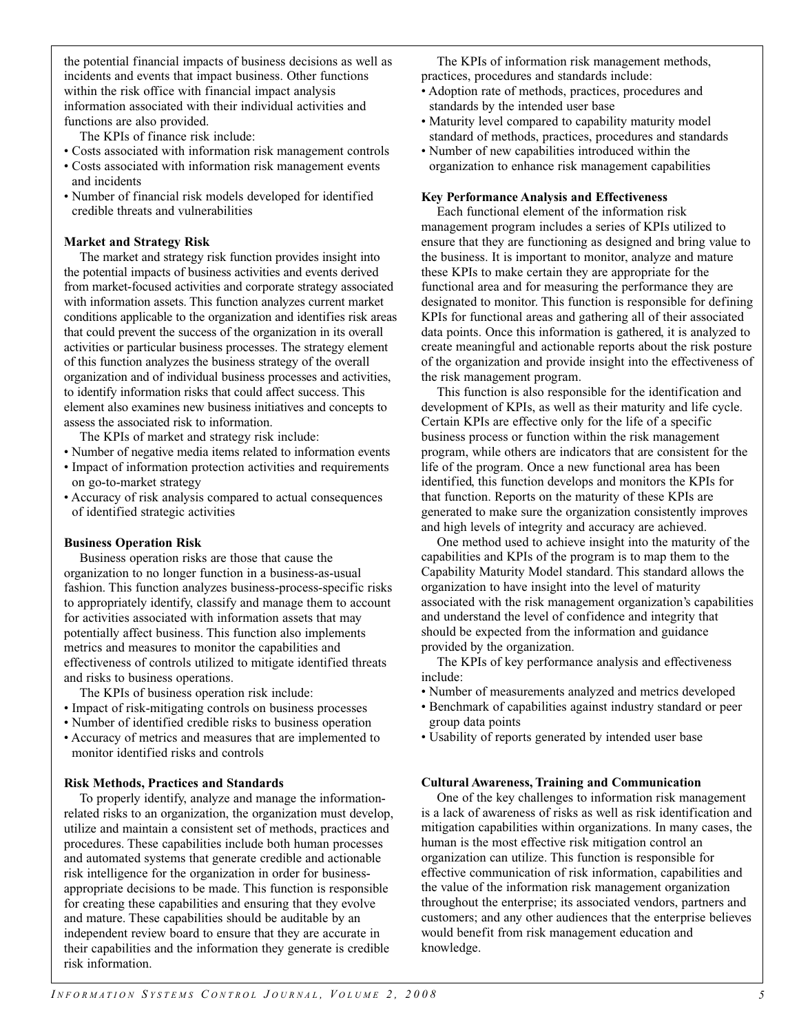the potential financial impacts of business decisions as well as incidents and events that impact business. Other functions within the risk office with financial impact analysis information associated with their individual activities and functions are also provided.

The KPIs of finance risk include:

- Costs associated with information risk management controls
- Costs associated with information risk management events and incidents
- Number of financial risk models developed for identified credible threats and vulnerabilities

#### **Market and Strategy Risk**

The market and strategy risk function provides insight into the potential impacts of business activities and events derived from market-focused activities and corporate strategy associated with information assets. This function analyzes current market conditions applicable to the organization and identifies risk areas that could prevent the success of the organization in its overall activities or particular business processes. The strategy element of this function analyzes the business strategy of the overall organization and of individual business processes and activities, to identify information risks that could affect success. This element also examines new business initiatives and concepts to assess the associated risk to information.

The KPIs of market and strategy risk include:

- Number of negative media items related to information events
- Impact of information protection activities and requirements on go-to-market strategy
- Accuracy of risk analysis compared to actual consequences of identified strategic activities

#### **Business Operation Risk**

Business operation risks are those that cause the organization to no longer function in a business-as-usual fashion. This function analyzes business-process-specific risks to appropriately identify, classify and manage them to account for activities associated with information assets that may potentially affect business. This function also implements metrics and measures to monitor the capabilities and effectiveness of controls utilized to mitigate identified threats and risks to business operations.

The KPIs of business operation risk include:

- Impact of risk-mitigating controls on business processes
- Number of identified credible risks to business operation
- Accuracy of metrics and measures that are implemented to monitor identified risks and controls

#### **Risk Methods, Practices and Standards**

To properly identify, analyze and manage the informationrelated risks to an organization, the organization must develop, utilize and maintain a consistent set of methods, practices and procedures. These capabilities include both human processes and automated systems that generate credible and actionable risk intelligence for the organization in order for businessappropriate decisions to be made. This function is responsible for creating these capabilities and ensuring that they evolve and mature. These capabilities should be auditable by an independent review board to ensure that they are accurate in their capabilities and the information they generate is credible risk information.

The KPIs of information risk management methods, practices, procedures and standards include:

- Adoption rate of methods, practices, procedures and standards by the intended user base
- Maturity level compared to capability maturity model standard of methods, practices, procedures and standards
- Number of new capabilities introduced within the organization to enhance risk management capabilities

#### **Key Performance Analysis and Effectiveness**

Each functional element of the information risk management program includes a series of KPIs utilized to ensure that they are functioning as designed and bring value to the business. It is important to monitor, analyze and mature these KPIs to make certain they are appropriate for the functional area and for measuring the performance they are designated to monitor. This function is responsible for defining KPIs for functional areas and gathering all of their associated data points. Once this information is gathered, it is analyzed to create meaningful and actionable reports about the risk posture of the organization and provide insight into the effectiveness of the risk management program.

This function is also responsible for the identification and development of KPIs, as well as their maturity and life cycle. Certain KPIs are effective only for the life of a specific business process or function within the risk management program, while others are indicators that are consistent for the life of the program. Once a new functional area has been identified, this function develops and monitors the KPIs for that function. Reports on the maturity of these KPIs are generated to make sure the organization consistently improves and high levels of integrity and accuracy are achieved.

One method used to achieve insight into the maturity of the capabilities and KPIs of the program is to map them to the Capability Maturity Model standard. This standard allows the organization to have insight into the level of maturity associated with the risk management organization's capabilities and understand the level of confidence and integrity that should be expected from the information and guidance provided by the organization.

The KPIs of key performance analysis and effectiveness include:

- Number of measurements analyzed and metrics developed
- Benchmark of capabilities against industry standard or peer group data points
- Usability of reports generated by intended user base

#### **Cultural Awareness, Training and Communication**

One of the key challenges to information risk management is a lack of awareness of risks as well as risk identification and mitigation capabilities within organizations. In many cases, the human is the most effective risk mitigation control an organization can utilize. This function is responsible for effective communication of risk information, capabilities and the value of the information risk management organization throughout the enterprise; its associated vendors, partners and customers; and any other audiences that the enterprise believes would benefit from risk management education and knowledge.